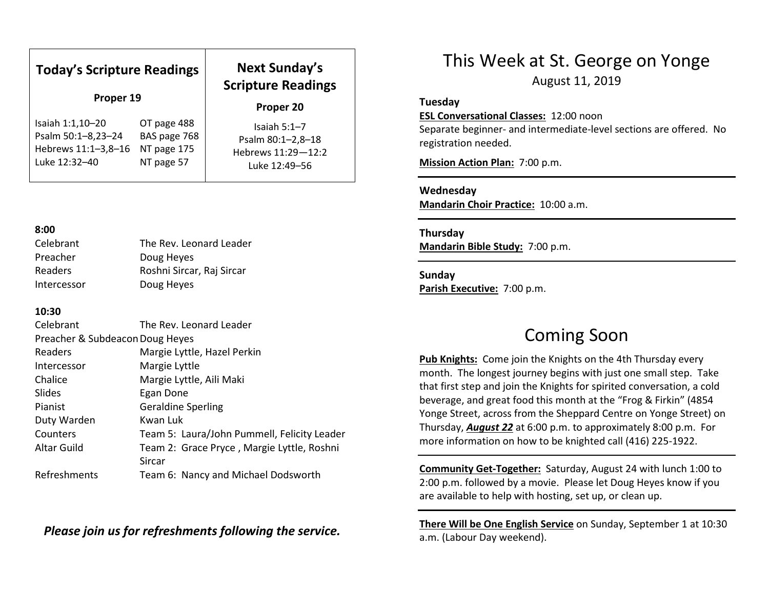| <b>Today's Scripture Readings</b><br>Proper 19 |              | <b>Next Sunday's</b><br><b>Scripture Readings</b><br>Proper 20 |
|------------------------------------------------|--------------|----------------------------------------------------------------|
| Isaiah 1:1,10-20                               | OT page 488  | Isaiah $5:1-7$                                                 |
| Psalm 50:1-8,23-24                             | BAS page 768 | Psalm 80:1-2,8-18                                              |
| Hebrews 11:1-3,8-16                            | NT page 175  | Hebrews 11:29-12:2                                             |
| Luke 12:32-40                                  | NT page 57   | Luke 12:49-56                                                  |

### 8:00

| Celebrant      | The Rev. Leonard Leader   |
|----------------|---------------------------|
| Preacher       | Doug Heyes                |
| <b>Readers</b> | Roshni Sircar, Raj Sircar |
| Intercessor    | Doug Heyes                |

## 10:30

| Celebrant                       | The Rev. Leonard Leader                     |  |
|---------------------------------|---------------------------------------------|--|
| Preacher & Subdeacon Doug Heyes |                                             |  |
| Readers                         | Margie Lyttle, Hazel Perkin                 |  |
| Intercessor                     | Margie Lyttle                               |  |
| Chalice                         | Margie Lyttle, Aili Maki                    |  |
| Slides                          | Egan Done                                   |  |
| Pianist                         | <b>Geraldine Sperling</b>                   |  |
| Duty Warden                     | Kwan Luk                                    |  |
| Counters                        | Team 5: Laura/John Pummell, Felicity Leader |  |
| Altar Guild                     | Team 2: Grace Pryce, Margie Lyttle, Roshni  |  |
|                                 | Sircar                                      |  |
| Refreshments                    | Team 6: Nancy and Michael Dodsworth         |  |

Please join us for refreshments following the service.

## This Week at St. George on Yonge

August 11, 2019

### Tuesday

### ESL Conversational Classes: 12:00 noon

Separate beginner- and intermediate-level sections are offered. No registration needed.

Mission Action Plan: 7:00 p.m.

## Wednesday

Mandarin Choir Practice: 10:00 a.m.

Thursday Mandarin Bible Study: 7:00 p.m.

Sunday Parish Executive: 7:00 p.m.

## Coming Soon

Pub Knights: Come join the Knights on the 4th Thursday every month. The longest journey begins with just one small step. Take that first step and join the Knights for spirited conversation, a cold beverage, and great food this month at the "Frog & Firkin" (4854 Yonge Street, across from the Sheppard Centre on Yonge Street) on Thursday, August 22 at 6:00 p.m. to approximately 8:00 p.m. For more information on how to be knighted call (416) 225-1922.

Community Get-Together: Saturday, August 24 with lunch 1:00 to 2:00 p.m. followed by a movie. Please let Doug Heyes know if you are available to help with hosting, set up, or clean up.

There Will be One English Service on Sunday, September 1 at 10:30 a.m. (Labour Day weekend).